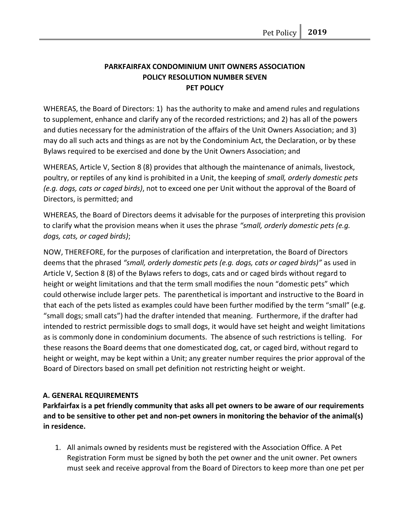# **PARKFAIRFAX CONDOMINIUM UNIT OWNERS ASSOCIATION POLICY RESOLUTION NUMBER SEVEN PET POLICY**

WHEREAS, the Board of Directors: 1) has the authority to make and amend rules and regulations to supplement, enhance and clarify any of the recorded restrictions; and 2) has all of the powers and duties necessary for the administration of the affairs of the Unit Owners Association; and 3) may do all such acts and things as are not by the Condominium Act, the Declaration, or by these Bylaws required to be exercised and done by the Unit Owners Association; and

WHEREAS, Article V, Section 8 (8) provides that although the maintenance of animals, livestock, poultry, or reptiles of any kind is prohibited in a Unit, the keeping of *small, orderly domestic pets (e.g. dogs, cats or caged birds)*, not to exceed one per Unit without the approval of the Board of Directors, is permitted; and

WHEREAS, the Board of Directors deems it advisable for the purposes of interpreting this provision to clarify what the provision means when it uses the phrase *"small, orderly domestic pets (e.g. dogs, cats, or caged birds)*;

NOW, THEREFORE, for the purposes of clarification and interpretation, the Board of Directors deems that the phrased *"small, orderly domestic pets (e.g. dogs, cats or caged birds)"* as used in Article V, Section 8 (8) of the Bylaws refers to dogs, cats and or caged birds without regard to height or weight limitations and that the term small modifies the noun "domestic pets" which could otherwise include larger pets. The parenthetical is important and instructive to the Board in that each of the pets listed as examples could have been further modified by the term "small" (e.g. "small dogs; small cats") had the drafter intended that meaning. Furthermore, if the drafter had intended to restrict permissible dogs to small dogs, it would have set height and weight limitations as is commonly done in condominium documents. The absence of such restrictions is telling. For these reasons the Board deems that one domesticated dog, cat, or caged bird, without regard to height or weight, may be kept within a Unit; any greater number requires the prior approval of the Board of Directors based on small pet definition not restricting height or weight.

## **A. GENERAL REQUIREMENTS**

**Parkfairfax is a pet friendly community that asks all pet owners to be aware of our requirements and to be sensitive to other pet and non-pet owners in monitoring the behavior of the animal(s) in residence.** 

1. All animals owned by residents must be registered with the Association Office. A Pet Registration Form must be signed by both the pet owner and the unit owner. Pet owners must seek and receive approval from the Board of Directors to keep more than one pet per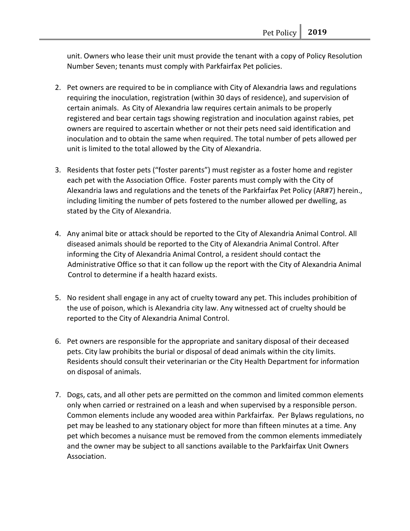unit. Owners who lease their unit must provide the tenant with a copy of Policy Resolution Number Seven; tenants must comply with Parkfairfax Pet policies.

- 2. Pet owners are required to be in compliance with City of Alexandria laws and regulations requiring the inoculation, registration (within 30 days of residence), and supervision of certain animals. As City of Alexandria law requires certain animals to be properly registered and bear certain tags showing registration and inoculation against rabies, pet owners are required to ascertain whether or not their pets need said identification and inoculation and to obtain the same when required. The total number of pets allowed per unit is limited to the total allowed by the City of Alexandria.
- 3. Residents that foster pets ("foster parents") must register as a foster home and register each pet with the Association Office. Foster parents must comply with the City of Alexandria laws and regulations and the tenets of the Parkfairfax Pet Policy (AR#7) herein., including limiting the number of pets fostered to the number allowed per dwelling, as stated by the City of Alexandria.
- 4. Any animal bite or attack should be reported to the City of Alexandria Animal Control. All diseased animals should be reported to the City of Alexandria Animal Control. After informing the City of Alexandria Animal Control, a resident should contact the Administrative Office so that it can follow up the report with the City of Alexandria Animal Control to determine if a health hazard exists.
- 5. No resident shall engage in any act of cruelty toward any pet. This includes prohibition of the use of poison, which is Alexandria city law. Any witnessed act of cruelty should be reported to the City of Alexandria Animal Control.
- 6. Pet owners are responsible for the appropriate and sanitary disposal of their deceased pets. City law prohibits the burial or disposal of dead animals within the city limits. Residents should consult their veterinarian or the City Health Department for information on disposal of animals.
- 7. Dogs, cats, and all other pets are permitted on the common and limited common elements only when carried or restrained on a leash and when supervised by a responsible person. Common elements include any wooded area within Parkfairfax. Per Bylaws regulations, no pet may be leashed to any stationary object for more than fifteen minutes at a time. Any pet which becomes a nuisance must be removed from the common elements immediately and the owner may be subject to all sanctions available to the Parkfairfax Unit Owners Association.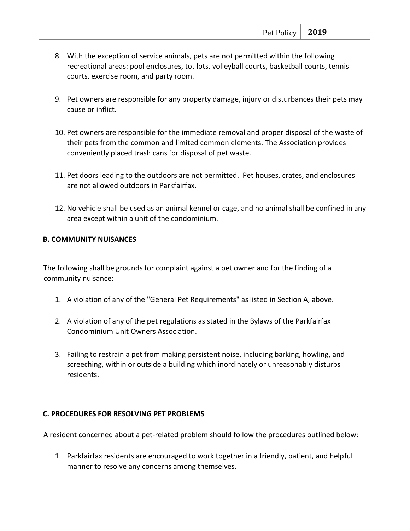- 8. With the exception of service animals, pets are not permitted within the following recreational areas: pool enclosures, tot lots, volleyball courts, basketball courts, tennis courts, exercise room, and party room.
- 9. Pet owners are responsible for any property damage, injury or disturbances their pets may cause or inflict.
- 10. Pet owners are responsible for the immediate removal and proper disposal of the waste of their pets from the common and limited common elements. The Association provides conveniently placed trash cans for disposal of pet waste.
- 11. Pet doors leading to the outdoors are not permitted. Pet houses, crates, and enclosures are not allowed outdoors in Parkfairfax.
- 12. No vehicle shall be used as an animal kennel or cage, and no animal shall be confined in any area except within a unit of the condominium.

#### **B. COMMUNITY NUISANCES**

The following shall be grounds for complaint against a pet owner and for the finding of a community nuisance:

- 1. A violation of any of the "General Pet Requirements" as listed in Section A, above.
- 2. A violation of any of the pet regulations as stated in the Bylaws of the Parkfairfax Condominium Unit Owners Association.
- 3. Failing to restrain a pet from making persistent noise, including barking, howling, and screeching, within or outside a building which inordinately or unreasonably disturbs residents.

#### **C. PROCEDURES FOR RESOLVING PET PROBLEMS**

A resident concerned about a pet-related problem should follow the procedures outlined below:

1. Parkfairfax residents are encouraged to work together in a friendly, patient, and helpful manner to resolve any concerns among themselves.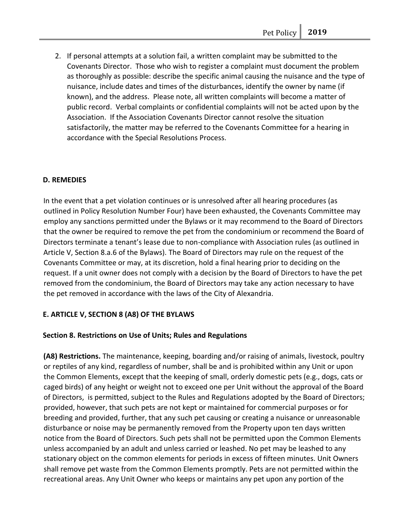2. If personal attempts at a solution fail, a written complaint may be submitted to the Covenants Director. Those who wish to register a complaint must document the problem as thoroughly as possible: describe the specific animal causing the nuisance and the type of nuisance, include dates and times of the disturbances, identify the owner by name (if known), and the address. Please note, all written complaints will become a matter of public record. Verbal complaints or confidential complaints will not be acted upon by the Association. If the Association Covenants Director cannot resolve the situation satisfactorily, the matter may be referred to the Covenants Committee for a hearing in accordance with the Special Resolutions Process.

## **D. REMEDIES**

In the event that a pet violation continues or is unresolved after all hearing procedures (as outlined in Policy Resolution Number Four) have been exhausted, the Covenants Committee may employ any sanctions permitted under the Bylaws or it may recommend to the Board of Directors that the owner be required to remove the pet from the condominium or recommend the Board of Directors terminate a tenant's lease due to non-compliance with Association rules (as outlined in Article V, Section 8.a.6 of the Bylaws). The Board of Directors may rule on the request of the Covenants Committee or may, at its discretion, hold a final hearing prior to deciding on the request. If a unit owner does not comply with a decision by the Board of Directors to have the pet removed from the condominium, the Board of Directors may take any action necessary to have the pet removed in accordance with the laws of the City of Alexandria.

#### **E. ARTICLE V, SECTION 8 (A8) OF THE BYLAWS**

#### **Section 8. Restrictions on Use of Units; Rules and Regulations**

**(A8) Restrictions.** The maintenance, keeping, boarding and/or raising of animals, livestock, poultry or reptiles of any kind, regardless of number, shall be and is prohibited within any Unit or upon the Common Elements, except that the keeping of small, orderly domestic pets (e.g., dogs, cats or caged birds) of any height or weight not to exceed one per Unit without the approval of the Board of Directors, is permitted, subject to the Rules and Regulations adopted by the Board of Directors; provided, however, that such pets are not kept or maintained for commercial purposes or for breeding and provided, further, that any such pet causing or creating a nuisance or unreasonable disturbance or noise may be permanently removed from the Property upon ten days written notice from the Board of Directors. Such pets shall not be permitted upon the Common Elements unless accompanied by an adult and unless carried or leashed. No pet may be leashed to any stationary object on the common elements for periods in excess of fifteen minutes. Unit Owners shall remove pet waste from the Common Elements promptly. Pets are not permitted within the recreational areas. Any Unit Owner who keeps or maintains any pet upon any portion of the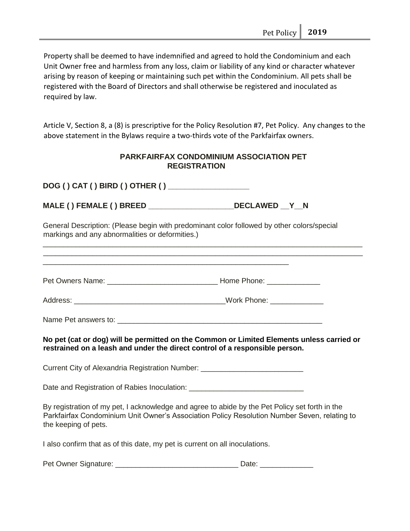Property shall be deemed to have indemnified and agreed to hold the Condominium and each Unit Owner free and harmless from any loss, claim or liability of any kind or character whatever arising by reason of keeping or maintaining such pet within the Condominium. All pets shall be registered with the Board of Directors and shall otherwise be registered and inoculated as required by law.

Article V, Section 8, a (8) is prescriptive for the Policy Resolution #7, Pet Policy. Any changes to the above statement in the Bylaws require a two-thirds vote of the Parkfairfax owners.

## **PARKFAIRFAX CONDOMINIUM ASSOCIATION PET REGISTRATION**

**DOG ( ) CAT ( ) BIRD ( ) OTHER ( ) \_\_\_\_\_\_\_\_\_\_\_\_\_\_\_\_\_\_\_** 

**MALE ( ) FEMALE ( ) BREED \_\_\_\_\_\_\_\_\_\_\_\_\_\_\_\_\_\_\_\_DECLAWED \_\_Y\_\_N** 

\_\_\_\_\_\_\_\_\_\_\_\_\_\_\_\_\_\_\_\_\_\_\_\_\_\_\_\_\_\_\_\_\_\_\_\_\_\_\_\_\_\_\_\_\_\_\_\_\_\_\_\_\_\_\_\_\_\_\_\_

General Description: (Please begin with predominant color followed by other colors/special markings and any abnormalities or deformities.)

\_\_\_\_\_\_\_\_\_\_\_\_\_\_\_\_\_\_\_\_\_\_\_\_\_\_\_\_\_\_\_\_\_\_\_\_\_\_\_\_\_\_\_\_\_\_\_\_\_\_\_\_\_\_\_\_\_\_\_\_\_\_\_\_\_\_\_\_\_\_\_\_\_\_\_\_\_\_ \_\_\_\_\_\_\_\_\_\_\_\_\_\_\_\_\_\_\_\_\_\_\_\_\_\_\_\_\_\_\_\_\_\_\_\_\_\_\_\_\_\_\_\_\_\_\_\_\_\_\_\_\_\_\_\_\_\_\_\_\_\_\_\_\_\_\_\_\_\_\_\_\_\_\_\_\_\_

Pet Owners Name:  $\Box$  and  $\Box$  and  $\Box$  and  $\Box$  Home Phone:  $\Box$  and  $\Box$  and  $\Box$  and  $\Box$  and  $\Box$  and  $\Box$  and  $\Box$  and  $\Box$  and  $\Box$  and  $\Box$  and  $\Box$  and  $\Box$  and  $\Box$  and  $\Box$  and  $\Box$  and  $\Box$  and  $\Box$  and  $\Box$  and

Address: \_\_\_\_\_\_\_\_\_\_\_\_\_\_\_\_\_\_\_\_\_\_\_\_\_\_\_\_\_\_\_\_\_\_\_\_\_Work Phone: \_\_\_\_\_\_\_\_\_\_\_\_\_

Name Pet answers to:  $\blacksquare$ 

**No pet (cat or dog) will be permitted on the Common or Limited Elements unless carried or restrained on a leash and under the direct control of a responsible person.** 

Current City of Alexandria Registration Number: \_\_\_\_\_\_\_\_\_\_\_\_\_\_\_\_\_\_\_\_\_\_\_\_\_\_\_\_\_\_\_\_

Date and Registration of Rabies Inoculation:

By registration of my pet, I acknowledge and agree to abide by the Pet Policy set forth in the Parkfairfax Condominium Unit Owner's Association Policy Resolution Number Seven, relating to the keeping of pets.

I also confirm that as of this date, my pet is current on all inoculations.

Pet Owner Signature: \_\_\_\_\_\_\_\_\_\_\_\_\_\_\_\_\_\_\_\_\_\_\_\_\_\_\_\_\_\_ Date: \_\_\_\_\_\_\_\_\_\_\_\_\_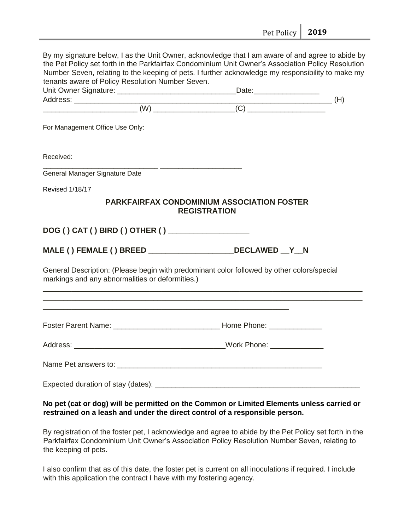|                                                  | tenants aware of Policy Resolution Number Seven.                                                                                                                                                                                                                                                                                                                   |
|--------------------------------------------------|--------------------------------------------------------------------------------------------------------------------------------------------------------------------------------------------------------------------------------------------------------------------------------------------------------------------------------------------------------------------|
|                                                  | $\begin{picture}(150,10) \put(0,0){\vector(1,0){100}} \put(15,0){\vector(1,0){100}} \put(15,0){\vector(1,0){100}} \put(15,0){\vector(1,0){100}} \put(15,0){\vector(1,0){100}} \put(15,0){\vector(1,0){100}} \put(15,0){\vector(1,0){100}} \put(15,0){\vector(1,0){100}} \put(15,0){\vector(1,0){100}} \put(15,0){\vector(1,0){100}} \put(15,0){\vector(1,0){100}}$ |
| For Management Office Use Only:                  |                                                                                                                                                                                                                                                                                                                                                                    |
| Received:                                        |                                                                                                                                                                                                                                                                                                                                                                    |
| General Manager Signature Date                   |                                                                                                                                                                                                                                                                                                                                                                    |
| <b>Revised 1/18/17</b>                           |                                                                                                                                                                                                                                                                                                                                                                    |
|                                                  | <b>PARKFAIRFAX CONDOMINIUM ASSOCIATION FOSTER</b><br><b>REGISTRATION</b>                                                                                                                                                                                                                                                                                           |
|                                                  |                                                                                                                                                                                                                                                                                                                                                                    |
|                                                  |                                                                                                                                                                                                                                                                                                                                                                    |
| DOG () CAT () BIRD () OTHER () _________________ |                                                                                                                                                                                                                                                                                                                                                                    |
|                                                  | MALE () FEMALE () BREED ___________________DECLAWED _Y_N                                                                                                                                                                                                                                                                                                           |
| markings and any abnormalities or deformities.)  | General Description: (Please begin with predominant color followed by other colors/special                                                                                                                                                                                                                                                                         |
|                                                  |                                                                                                                                                                                                                                                                                                                                                                    |
|                                                  |                                                                                                                                                                                                                                                                                                                                                                    |
|                                                  | _______________________________Work Phone: __________                                                                                                                                                                                                                                                                                                              |
| Address:                                         |                                                                                                                                                                                                                                                                                                                                                                    |

By registration of the foster pet, I acknowledge and agree to abide by the Pet Policy set forth in the Parkfairfax Condominium Unit Owner's Association Policy Resolution Number Seven, relating to the keeping of pets.

I also confirm that as of this date, the foster pet is current on all inoculations if required. I include with this application the contract I have with my fostering agency.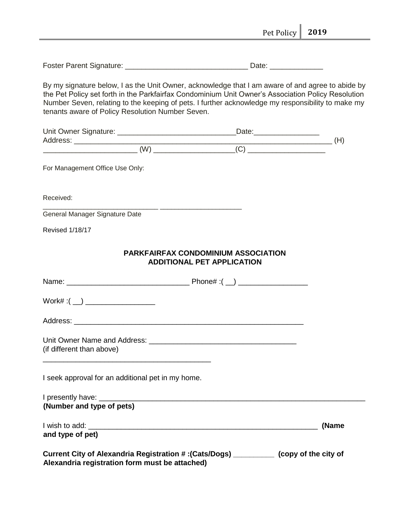|                                                                                                                                                                                                                                                                                                                                                                 |                                                                                 | Pet Policy | 2019  |
|-----------------------------------------------------------------------------------------------------------------------------------------------------------------------------------------------------------------------------------------------------------------------------------------------------------------------------------------------------------------|---------------------------------------------------------------------------------|------------|-------|
|                                                                                                                                                                                                                                                                                                                                                                 |                                                                                 |            |       |
| By my signature below, I as the Unit Owner, acknowledge that I am aware of and agree to abide by<br>the Pet Policy set forth in the Parkfairfax Condominium Unit Owner's Association Policy Resolution<br>Number Seven, relating to the keeping of pets. I further acknowledge my responsibility to make my<br>tenants aware of Policy Resolution Number Seven. |                                                                                 |            |       |
|                                                                                                                                                                                                                                                                                                                                                                 |                                                                                 |            |       |
|                                                                                                                                                                                                                                                                                                                                                                 |                                                                                 |            | (H)   |
| For Management Office Use Only:                                                                                                                                                                                                                                                                                                                                 |                                                                                 |            |       |
| Received:                                                                                                                                                                                                                                                                                                                                                       |                                                                                 |            |       |
| General Manager Signature Date                                                                                                                                                                                                                                                                                                                                  |                                                                                 |            |       |
| <b>Revised 1/18/17</b>                                                                                                                                                                                                                                                                                                                                          |                                                                                 |            |       |
|                                                                                                                                                                                                                                                                                                                                                                 | <b>PARKFAIRFAX CONDOMINIUM ASSOCIATION</b><br><b>ADDITIONAL PET APPLICATION</b> |            |       |
|                                                                                                                                                                                                                                                                                                                                                                 |                                                                                 |            |       |
|                                                                                                                                                                                                                                                                                                                                                                 |                                                                                 |            |       |
| Address:                                                                                                                                                                                                                                                                                                                                                        |                                                                                 |            |       |
| (if different than above)<br><u> 1980 - Jan James James Barnett, fransk politik (d. 1980)</u>                                                                                                                                                                                                                                                                   |                                                                                 |            |       |
| I seek approval for an additional pet in my home.                                                                                                                                                                                                                                                                                                               |                                                                                 |            |       |
| (Number and type of pets)                                                                                                                                                                                                                                                                                                                                       |                                                                                 |            |       |
| and type of pet)                                                                                                                                                                                                                                                                                                                                                |                                                                                 |            | (Name |
| Current City of Alexandria Registration #: (Cats/Dogs) __________ (copy of the city of<br>Alexandria registration form must be attached)                                                                                                                                                                                                                        |                                                                                 |            |       |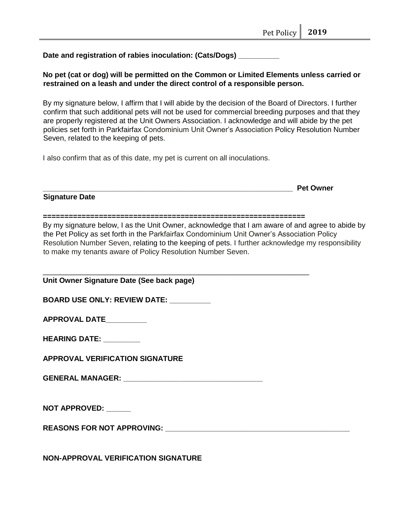Date and registration of rabies inoculation: (Cats/Dogs) \_

**No pet (cat or dog) will be permitted on the Common or Limited Elements unless carried or restrained on a leash and under the direct control of a responsible person.** 

By my signature below, I affirm that I will abide by the decision of the Board of Directors. I further confirm that such additional pets will not be used for commercial breeding purposes and that they are properly registered at the Unit Owners Association. I acknowledge and will abide by the pet policies set forth in Parkfairfax Condominium Unit Owner's Association Policy Resolution Number Seven, related to the keeping of pets.

I also confirm that as of this date, my pet is current on all inoculations.

**Signature Date** 

| Pet Owner |
|-----------|
|           |

By my signature below, I as the Unit Owner, acknowledge that I am aware of and agree to abide by the Pet Policy as set forth in the Parkfairfax Condominium Unit Owner's Association Policy Resolution Number Seven, relating to the keeping of pets. I further acknowledge my responsibility to make my tenants aware of Policy Resolution Number Seven.

| Unit Owner Signature Date (See back page)  |
|--------------------------------------------|
| BOARD USE ONLY: REVIEW DATE: _________     |
| APPROVAL DATE__________                    |
| <b>HEARING DATE: _________</b>             |
| <b>APPROVAL VERIFICATION SIGNATURE</b>     |
|                                            |
|                                            |
| NOT APPROVED: ______                       |
|                                            |
|                                            |
| <b>NON-APPROVAL VERIFICATION SIGNATURE</b> |